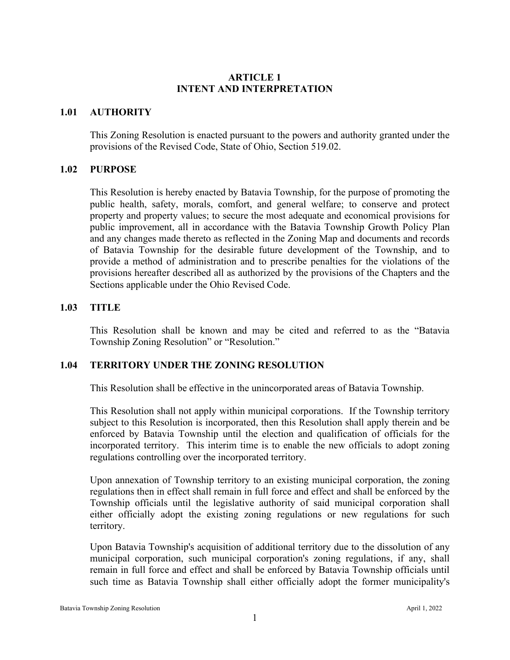### **ARTICLE 1 INTENT AND INTERPRETATION**

### **1.01 AUTHORITY**

This Zoning Resolution is enacted pursuant to the powers and authority granted under the provisions of the Revised Code, State of Ohio, Section 519.02.

#### **1.02 PURPOSE**

This Resolution is hereby enacted by Batavia Township, for the purpose of promoting the public health, safety, morals, comfort, and general welfare; to conserve and protect property and property values; to secure the most adequate and economical provisions for public improvement, all in accordance with the Batavia Township Growth Policy Plan and any changes made thereto as reflected in the Zoning Map and documents and records of Batavia Township for the desirable future development of the Township, and to provide a method of administration and to prescribe penalties for the violations of the provisions hereafter described all as authorized by the provisions of the Chapters and the Sections applicable under the Ohio Revised Code.

### **1.03 TITLE**

This Resolution shall be known and may be cited and referred to as the "Batavia Township Zoning Resolution" or "Resolution."

# **1.04 TERRITORY UNDER THE ZONING RESOLUTION**

This Resolution shall be effective in the unincorporated areas of Batavia Township.

This Resolution shall not apply within municipal corporations. If the Township territory subject to this Resolution is incorporated, then this Resolution shall apply therein and be enforced by Batavia Township until the election and qualification of officials for the incorporated territory. This interim time is to enable the new officials to adopt zoning regulations controlling over the incorporated territory.

Upon annexation of Township territory to an existing municipal corporation, the zoning regulations then in effect shall remain in full force and effect and shall be enforced by the Township officials until the legislative authority of said municipal corporation shall either officially adopt the existing zoning regulations or new regulations for such territory.

Upon Batavia Township's acquisition of additional territory due to the dissolution of any municipal corporation, such municipal corporation's zoning regulations, if any, shall remain in full force and effect and shall be enforced by Batavia Township officials until such time as Batavia Township shall either officially adopt the former municipality's